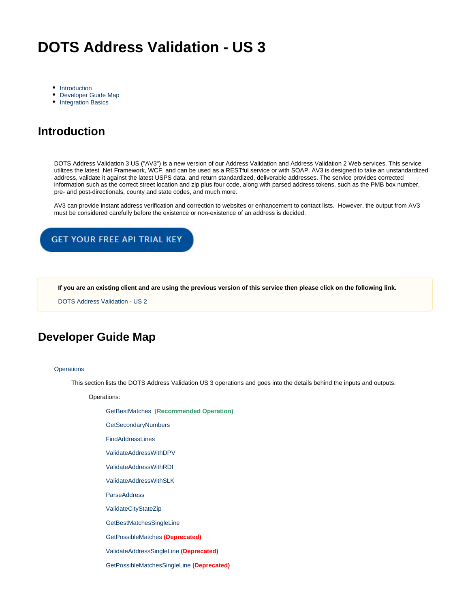# **DOTS Address Validation - US 3**

- [Introduction](#page-0-0)
- [Developer Guide Map](#page-0-1)
- [Integration Basics](#page-1-0)

# <span id="page-0-0"></span>**Introduction**

DOTS Address Validation 3 US ("AV3") is a new version of our Address Validation and Address Validation 2 Web services. This service utilizes the latest .Net Framework, WCF, and can be used as a RESTful service or with SOAP. AV3 is designed to take an unstandardized address, validate it against the latest USPS data, and return standardized, deliverable addresses. The service provides corrected information such as the correct street location and zip plus four code, along with parsed address tokens, such as the PMB box number, pre- and post-directionals, county and state codes, and much more.

AV3 can provide instant address verification and correction to websites or enhancement to contact lists. However, the output from AV3 must be considered carefully before the existence or non-existence of an address is decided.

### GET YOUR FREE API TRIAL KEY

**If you are an existing client and are using the previous version of this service then please click on the following link.**

[DOTS Address Validation - US 2](https://docs.serviceobjects.com/display/legacyservices/DOTS+Address+Validation+2+-+US)

## <span id="page-0-1"></span>**Developer Guide Map**

#### **[Operations](https://docs.serviceobjects.com/display/devguide/AV3+-+Operations)**

This section lists the DOTS Address Validation US 3 operations and goes into the details behind the inputs and outputs.

Operations:

[GetBestMatches](https://docs.serviceobjects.com/display/devguide/AV3+-+GetBestMatches+-+Recommended) **(Recommended Operation)**

[GetSecondaryNumbers](https://docs.serviceobjects.com/display/devguide/AV3+-+GetSecondaryNumbers) 

[FindAddressLines](https://docs.serviceobjects.com/display/devguide/AV3+-+FindAddressLines)

[ValidateAddressWithDPV](https://docs.serviceobjects.com/display/devguide/AV3+-+ValidateAddressWithDPV)

[ValidateAddressWithRDI](https://docs.serviceobjects.com/display/devguide/AV3+-+ValidateAddressWithRDI)

[ValidateAddressWithSLK](https://docs.serviceobjects.com/display/devguide/AV3+-+ValidateAddressWithSLK)

**[ParseAddress](https://docs.serviceobjects.com/display/devguide/AV3+-+ParseAddress)** 

[ValidateCityStateZip](https://docs.serviceobjects.com/display/devguide/AV3+-+ValidateCityStateZip)

[GetBestMatchesSingleLine](https://docs.serviceobjects.com/display/devguide/AV3+-+GetBestMatchesSingleLine)

[GetPossibleMatches](https://docs.serviceobjects.com/display/devguide/AV3+-+GetPossibleMatches+-+Deprecated) **(Deprecated)**

[ValidateAddressSingleLine](https://docs.serviceobjects.com/display/devguide/AV3+-+ValidateAddressSingleLine+-+Deprecated) **(Deprecated)**

[GetPossibleMatchesSingleLine](https://docs.serviceobjects.com/display/devguide/AV3+-+GetPossibleMatchesSingleLine+-+Deprecated) **(Deprecated)**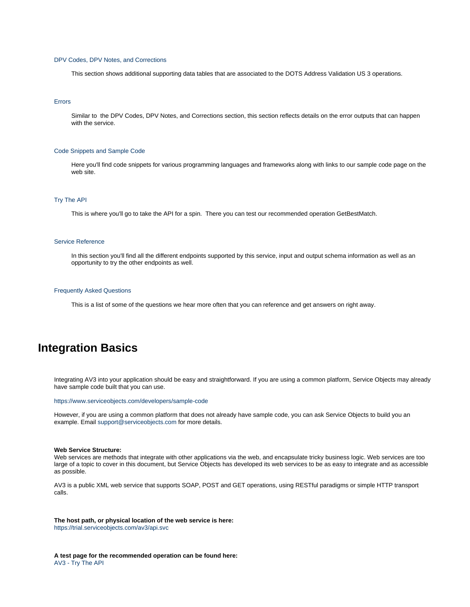#### [DPV Codes, DPV Notes, and Corrections](https://docs.serviceobjects.com/display/devguide/AV3+-+DPV+Codes%2C+DPV+Notes%2C+and+Corrections)

This section shows additional supporting data tables that are associated to the DOTS Address Validation US 3 operations.

#### [Errors](https://docs.serviceobjects.com/display/devguide/AV3+-+Errors)

Similar to the DPV Codes, DPV Notes, and Corrections section, this section reflects details on the error outputs that can happen with the service.

#### [Code Snippets and Sample Code](https://docs.serviceobjects.com/display/devguide/AV3+-+Code+Snippets+and+Sample+Code)

Here you'll find code snippets for various programming languages and frameworks along with links to our sample code page on the web site.

#### [Try The API](https://docs.serviceobjects.com/display/devguide/AV3+-+Try+The+API)

This is where you'll go to take the API for a spin. There you can test our recommended operation GetBestMatch.

#### [Service Reference](https://docs.serviceobjects.com/display/devguide/AV3+-+Service+Reference)

In this section you'll find all the different endpoints supported by this service, input and output schema information as well as an opportunity to try the other endpoints as well.

#### [Frequently Asked Questions](https://docs.serviceobjects.com/display/devguide/AV3+-+Frequently+Asked+Questions)

This is a list of some of the questions we hear more often that you can reference and get answers on right away.

### <span id="page-1-0"></span>**Integration Basics**

Integrating AV3 into your application should be easy and straightforward. If you are using a common platform, Service Objects may already have sample code built that you can use.

<https://www.serviceobjects.com/developers/sample-code>

However, if you are using a common platform that does not already have sample code, you can ask Service Objects to build you an example. Email [support@serviceobjects.com](mailto:support@serviceobjects.com) for more details.

#### **Web Service Structure:**

Web services are methods that integrate with other applications via the web, and encapsulate tricky business logic. Web services are too large of a topic to cover in this document, but Service Objects has developed its web services to be as easy to integrate and as accessible as possible.

AV3 is a public XML web service that supports SOAP, POST and GET operations, using RESTful paradigms or simple HTTP transport calls.

**The host path, or physical location of the web service is here:** <https://trial.serviceobjects.com/av3/api.svc>

**A test page for the recommended operation can be found here:** [AV3 - Try The API](https://docs.serviceobjects.com/display/devguide/AV3+-+Try+The+API)